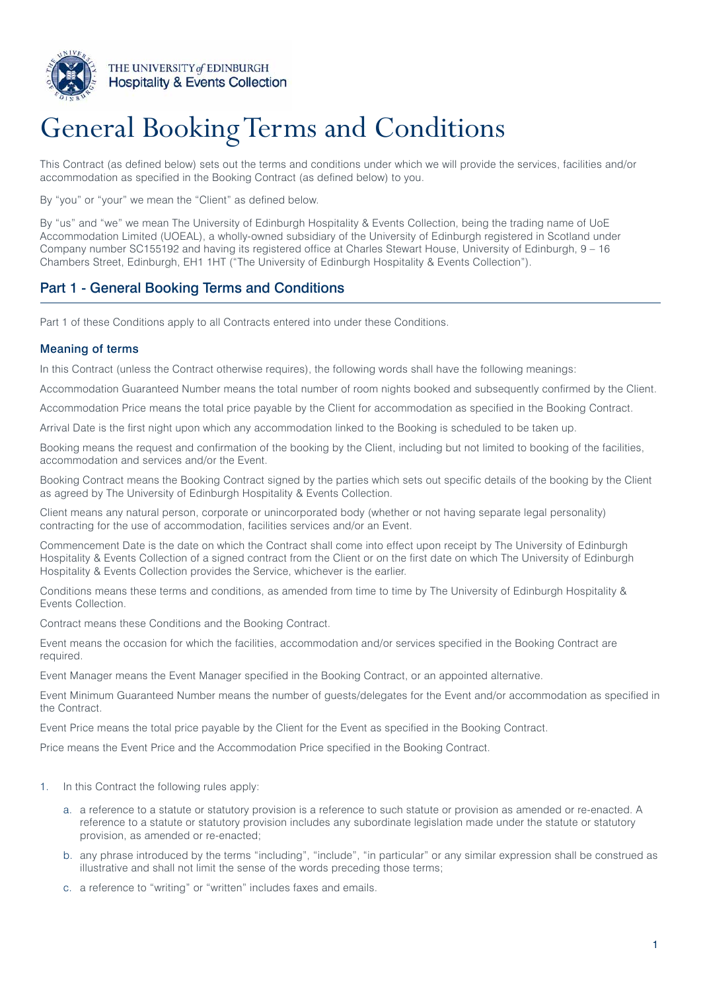

# General Booking Terms and Conditions

This Contract (as defined below) sets out the terms and conditions under which we will provide the services, facilities and/or accommodation as specified in the Booking Contract (as defined below) to you.

By "you" or "your" we mean the "Client" as defined below.

By "us" and "we" we mean The University of Edinburgh Hospitality & Events Collection, being the trading name of UoE Accommodation Limited (UOEAL), a wholly-owned subsidiary of the University of Edinburgh registered in Scotland under Company number SC155192 and having its registered office at Charles Stewart House, University of Edinburgh, 9 – 16 Chambers Street, Edinburgh, EH1 1HT ("The University of Edinburgh Hospitality & Events Collection").

# Part 1 - General Booking Terms and Conditions

Part 1 of these Conditions apply to all Contracts entered into under these Conditions.

## Meaning of terms

In this Contract (unless the Contract otherwise requires), the following words shall have the following meanings:

Accommodation Guaranteed Number means the total number of room nights booked and subsequently confirmed by the Client.

Accommodation Price means the total price payable by the Client for accommodation as specified in the Booking Contract.

Arrival Date is the first night upon which any accommodation linked to the Booking is scheduled to be taken up.

Booking means the request and confirmation of the booking by the Client, including but not limited to booking of the facilities, accommodation and services and/or the Event.

Booking Contract means the Booking Contract signed by the parties which sets out specific details of the booking by the Client as agreed by The University of Edinburgh Hospitality & Events Collection.

Client means any natural person, corporate or unincorporated body (whether or not having separate legal personality) contracting for the use of accommodation, facilities services and/or an Event.

Commencement Date is the date on which the Contract shall come into effect upon receipt by The University of Edinburgh Hospitality & Events Collection of a signed contract from the Client or on the first date on which The University of Edinburgh Hospitality & Events Collection provides the Service, whichever is the earlier.

Conditions means these terms and conditions, as amended from time to time by The University of Edinburgh Hospitality & Events Collection.

Contract means these Conditions and the Booking Contract.

Event means the occasion for which the facilities, accommodation and/or services specified in the Booking Contract are required.

Event Manager means the Event Manager specified in the Booking Contract, or an appointed alternative.

Event Minimum Guaranteed Number means the number of guests/delegates for the Event and/or accommodation as specified in the Contract.

Event Price means the total price payable by the Client for the Event as specified in the Booking Contract.

Price means the Event Price and the Accommodation Price specified in the Booking Contract.

- 1. In this Contract the following rules apply:
	- a. a reference to a statute or statutory provision is a reference to such statute or provision as amended or re-enacted. A reference to a statute or statutory provision includes any subordinate legislation made under the statute or statutory provision, as amended or re-enacted;
	- b. any phrase introduced by the terms "including", "include", "in particular" or any similar expression shall be construed as illustrative and shall not limit the sense of the words preceding those terms;
	- c. a reference to "writing" or "written" includes faxes and emails.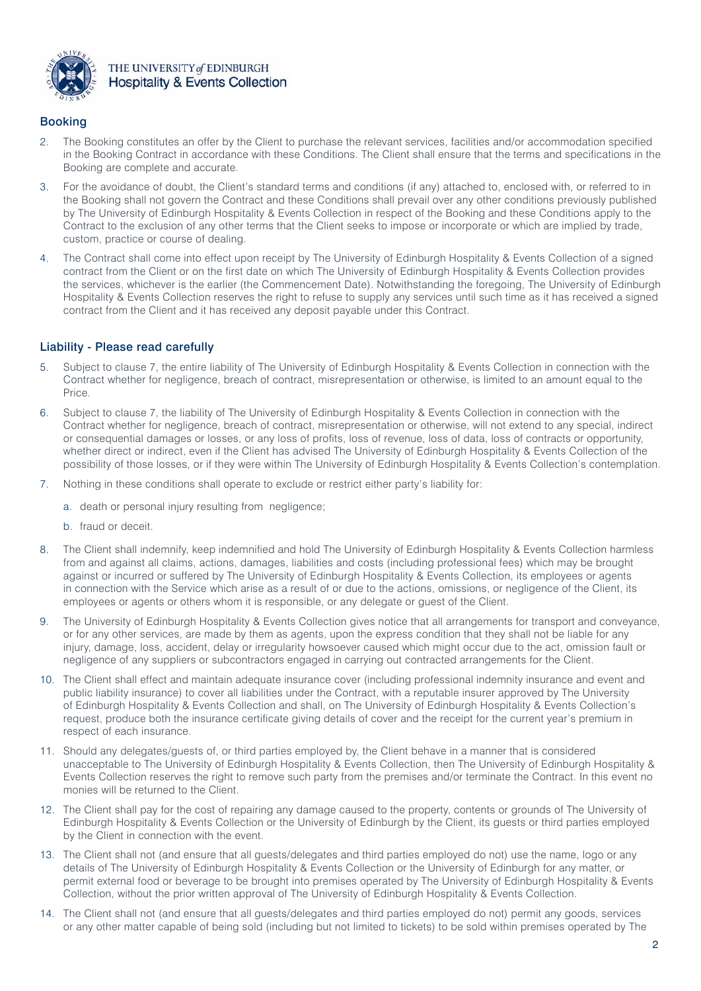

## Booking

- 2. The Booking constitutes an offer by the Client to purchase the relevant services, facilities and/or accommodation specified in the Booking Contract in accordance with these Conditions. The Client shall ensure that the terms and specifications in the Booking are complete and accurate.
- 3. For the avoidance of doubt, the Client's standard terms and conditions (if any) attached to, enclosed with, or referred to in the Booking shall not govern the Contract and these Conditions shall prevail over any other conditions previously published by The University of Edinburgh Hospitality & Events Collection in respect of the Booking and these Conditions apply to the Contract to the exclusion of any other terms that the Client seeks to impose or incorporate or which are implied by trade, custom, practice or course of dealing.
- 4. The Contract shall come into effect upon receipt by The University of Edinburgh Hospitality & Events Collection of a signed contract from the Client or on the first date on which The University of Edinburgh Hospitality & Events Collection provides the services, whichever is the earlier (the Commencement Date). Notwithstanding the foregoing, The University of Edinburgh Hospitality & Events Collection reserves the right to refuse to supply any services until such time as it has received a signed contract from the Client and it has received any deposit payable under this Contract.

## Liability - Please read carefully

- 5. Subject to clause 7, the entire liability of The University of Edinburgh Hospitality & Events Collection in connection with the Contract whether for negligence, breach of contract, misrepresentation or otherwise, is limited to an amount equal to the Price.
- 6. Subject to clause 7, the liability of The University of Edinburgh Hospitality & Events Collection in connection with the Contract whether for negligence, breach of contract, misrepresentation or otherwise, will not extend to any special, indirect or consequential damages or losses, or any loss of profits, loss of revenue, loss of data, loss of contracts or opportunity, whether direct or indirect, even if the Client has advised The University of Edinburgh Hospitality & Events Collection of the possibility of those losses, or if they were within The University of Edinburgh Hospitality & Events Collection's contemplation.
- 7. Nothing in these conditions shall operate to exclude or restrict either party's liability for:
	- a. death or personal injury resulting from negligence;
	- b. fraud or deceit.
- 8. The Client shall indemnify, keep indemnified and hold The University of Edinburgh Hospitality & Events Collection harmless from and against all claims, actions, damages, liabilities and costs (including professional fees) which may be brought against or incurred or suffered by The University of Edinburgh Hospitality & Events Collection, its employees or agents in connection with the Service which arise as a result of or due to the actions, omissions, or negligence of the Client, its employees or agents or others whom it is responsible, or any delegate or guest of the Client.
- 9. The University of Edinburgh Hospitality & Events Collection gives notice that all arrangements for transport and conveyance, or for any other services, are made by them as agents, upon the express condition that they shall not be liable for any injury, damage, loss, accident, delay or irregularity howsoever caused which might occur due to the act, omission fault or negligence of any suppliers or subcontractors engaged in carrying out contracted arrangements for the Client.
- 10. The Client shall effect and maintain adequate insurance cover (including professional indemnity insurance and event and public liability insurance) to cover all liabilities under the Contract, with a reputable insurer approved by The University of Edinburgh Hospitality & Events Collection and shall, on The University of Edinburgh Hospitality & Events Collection's request, produce both the insurance certificate giving details of cover and the receipt for the current year's premium in respect of each insurance.
- 11. Should any delegates/guests of, or third parties employed by, the Client behave in a manner that is considered unacceptable to The University of Edinburgh Hospitality & Events Collection, then The University of Edinburgh Hospitality & Events Collection reserves the right to remove such party from the premises and/or terminate the Contract. In this event no monies will be returned to the Client.
- 12. The Client shall pay for the cost of repairing any damage caused to the property, contents or grounds of The University of Edinburgh Hospitality & Events Collection or the University of Edinburgh by the Client, its guests or third parties employed by the Client in connection with the event.
- 13. The Client shall not (and ensure that all guests/delegates and third parties employed do not) use the name, logo or any details of The University of Edinburgh Hospitality & Events Collection or the University of Edinburgh for any matter, or permit external food or beverage to be brought into premises operated by The University of Edinburgh Hospitality & Events Collection, without the prior written approval of The University of Edinburgh Hospitality & Events Collection.
- 14. The Client shall not (and ensure that all guests/delegates and third parties employed do not) permit any goods, services or any other matter capable of being sold (including but not limited to tickets) to be sold within premises operated by The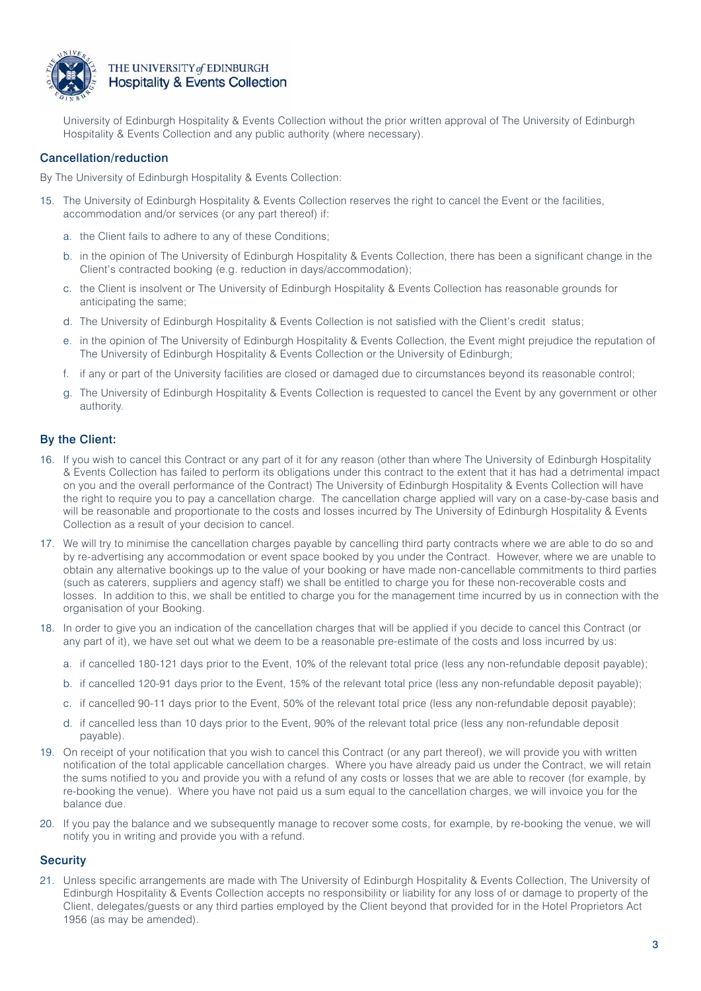

University of Edinburgh Hospitality & Events Collection without the prior written approval of The University of Edinburgh Hospitality & Events Collection and any public authority (where necessary).

## Cancellation/reduction

By The University of Edinburgh Hospitality & Events Collection:

- 15. The University of Edinburgh Hospitality & Events Collection reserves the right to cancel the Event or the facilities, accommodation and/or services (or any part thereof) if:
	- a. the Client fails to adhere to any of these Conditions;
	- b. in the opinion of The University of Edinburgh Hospitality & Events Collection, there has been a significant change in the Client's contracted booking (e.g. reduction in days/accommodation);
	- c. the Client is insolvent or The University of Edinburgh Hospitality & Events Collection has reasonable grounds for anticipating the same;
	- d. The University of Edinburgh Hospitality & Events Collection is not satisfied with the Client's credit status;
	- e. in the opinion of The University of Edinburgh Hospitality & Events Collection, the Event might prejudice the reputation of The University of Edinburgh Hospitality & Events Collection or the University of Edinburgh;
	- f. if any or part of the University facilities are closed or damaged due to circumstances beyond its reasonable control;
	- g. The University of Edinburgh Hospitality & Events Collection is requested to cancel the Event by any government or other authority.

## By the Client:

- 16. If you wish to cancel this Contract or any part of it for any reason (other than where The University of Edinburgh Hospitality & Events Collection has failed to perform its obligations under this contract to the extent that it has had a detrimental impact on you and the overall performance of the Contract) The University of Edinburgh Hospitality & Events Collection will have the right to require you to pay a cancellation charge. The cancellation charge applied will vary on a case-by-case basis and will be reasonable and proportionate to the costs and losses incurred by The University of Edinburgh Hospitality & Events Collection as a result of your decision to cancel.
- 17. We will try to minimise the cancellation charges payable by cancelling third party contracts where we are able to do so and by re-advertising any accommodation or event space booked by you under the Contract. However, where we are unable to obtain any alternative bookings up to the value of your booking or have made non-cancellable commitments to third parties (such as caterers, suppliers and agency staff) we shall be entitled to charge you for these non-recoverable costs and losses. In addition to this, we shall be entitled to charge you for the management time incurred by us in connection with the organisation of your Booking.
- 18. In order to give you an indication of the cancellation charges that will be applied if you decide to cancel this Contract (or any part of it), we have set out what we deem to be a reasonable pre-estimate of the costs and loss incurred by us:
	- a. if cancelled 180-121 days prior to the Event, 10% of the relevant total price (less any non-refundable deposit payable);
	- b. if cancelled 120-91 days prior to the Event, 15% of the relevant total price (less any non-refundable deposit payable);
	- c. if cancelled 90-11 days prior to the Event, 50% of the relevant total price (less any non-refundable deposit payable);
	- d. if cancelled less than 10 days prior to the Event, 90% of the relevant total price (less any non-refundable deposit payable).
- 19. On receipt of your notification that you wish to cancel this Contract (or any part thereof), we will provide you with written notification of the total applicable cancellation charges. Where you have already paid us under the Contract, we will retain the sums notified to you and provide you with a refund of any costs or losses that we are able to recover (for example, by re-booking the venue). Where you have not paid us a sum equal to the cancellation charges, we will invoice you for the balance due.
- 20. If you pay the balance and we subsequently manage to recover some costs, for example, by re-booking the venue, we will notify you in writing and provide you with a refund.

## **Security**

21. Unless specific arrangements are made with The University of Edinburgh Hospitality & Events Collection, The University of Edinburgh Hospitality & Events Collection accepts no responsibility or liability for any loss of or damage to property of the Client, delegates/guests or any third parties employed by the Client beyond that provided for in the Hotel Proprietors Act 1956 (as may be amended).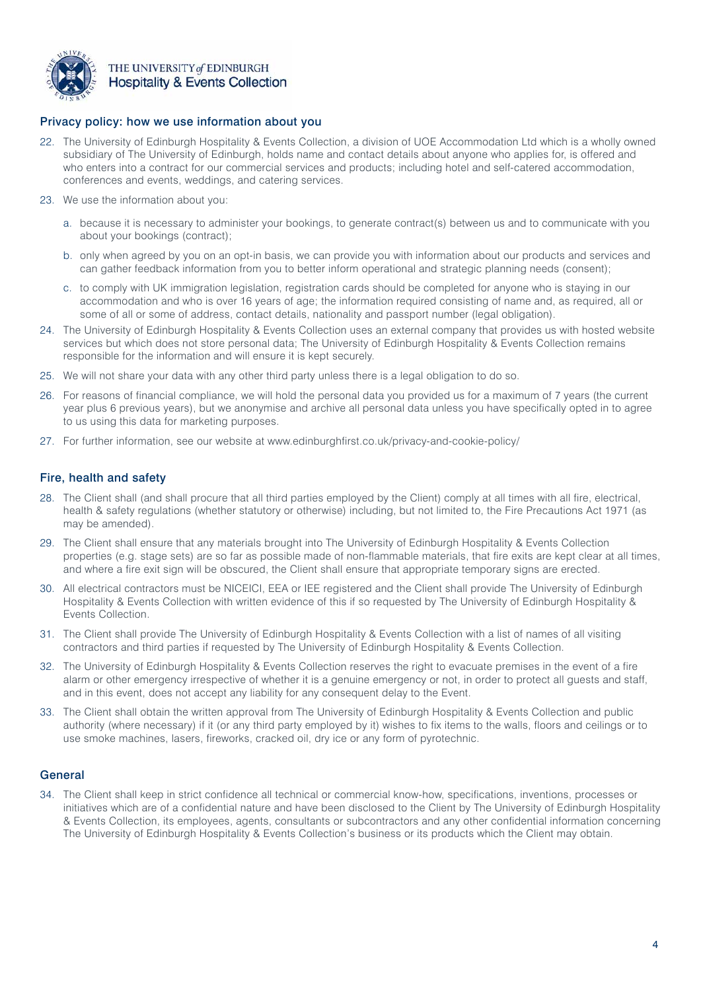

## Privacy policy: how we use information about you

- 22. The University of Edinburgh Hospitality & Events Collection, a division of UOE Accommodation Ltd which is a wholly owned subsidiary of The University of Edinburgh, holds name and contact details about anyone who applies for, is offered and who enters into a contract for our commercial services and products; including hotel and self-catered accommodation, conferences and events, weddings, and catering services.
- 23. We use the information about you:
	- a. because it is necessary to administer your bookings, to generate contract(s) between us and to communicate with you about your bookings (contract);
	- b. only when agreed by you on an opt-in basis, we can provide you with information about our products and services and can gather feedback information from you to better inform operational and strategic planning needs (consent);
	- c. to comply with UK immigration legislation, registration cards should be completed for anyone who is staying in our accommodation and who is over 16 years of age; the information required consisting of name and, as required, all or some of all or some of address, contact details, nationality and passport number (legal obligation).
- 24. The University of Edinburgh Hospitality & Events Collection uses an external company that provides us with hosted website services but which does not store personal data; The University of Edinburgh Hospitality & Events Collection remains responsible for the information and will ensure it is kept securely.
- 25. We will not share your data with any other third party unless there is a legal obligation to do so.
- 26. For reasons of financial compliance, we will hold the personal data you provided us for a maximum of 7 years (the current year plus 6 previous years), but we anonymise and archive all personal data unless you have specifically opted in to agree to us using this data for marketing purposes.
- 27. For further information, see our website at www.edinburghfirst.co.uk/privacy-and-cookie-policy/

## Fire, health and safety

- 28. The Client shall (and shall procure that all third parties employed by the Client) comply at all times with all fire, electrical, health & safety regulations (whether statutory or otherwise) including, but not limited to, the Fire Precautions Act 1971 (as may be amended).
- 29. The Client shall ensure that any materials brought into The University of Edinburgh Hospitality & Events Collection properties (e.g. stage sets) are so far as possible made of non-flammable materials, that fire exits are kept clear at all times, and where a fire exit sign will be obscured, the Client shall ensure that appropriate temporary signs are erected.
- 30. All electrical contractors must be NICEICI, EEA or IEE registered and the Client shall provide The University of Edinburgh Hospitality & Events Collection with written evidence of this if so requested by The University of Edinburgh Hospitality & Events Collection.
- 31. The Client shall provide The University of Edinburgh Hospitality & Events Collection with a list of names of all visiting contractors and third parties if requested by The University of Edinburgh Hospitality & Events Collection.
- 32. The University of Edinburgh Hospitality & Events Collection reserves the right to evacuate premises in the event of a fire alarm or other emergency irrespective of whether it is a genuine emergency or not, in order to protect all guests and staff, and in this event, does not accept any liability for any consequent delay to the Event.
- 33. The Client shall obtain the written approval from The University of Edinburgh Hospitality & Events Collection and public authority (where necessary) if it (or any third party employed by it) wishes to fix items to the walls, floors and ceilings or to use smoke machines, lasers, fireworks, cracked oil, dry ice or any form of pyrotechnic.

## **General**

34. The Client shall keep in strict confidence all technical or commercial know-how, specifications, inventions, processes or initiatives which are of a confidential nature and have been disclosed to the Client by The University of Edinburgh Hospitality & Events Collection, its employees, agents, consultants or subcontractors and any other confidential information concerning The University of Edinburgh Hospitality & Events Collection's business or its products which the Client may obtain.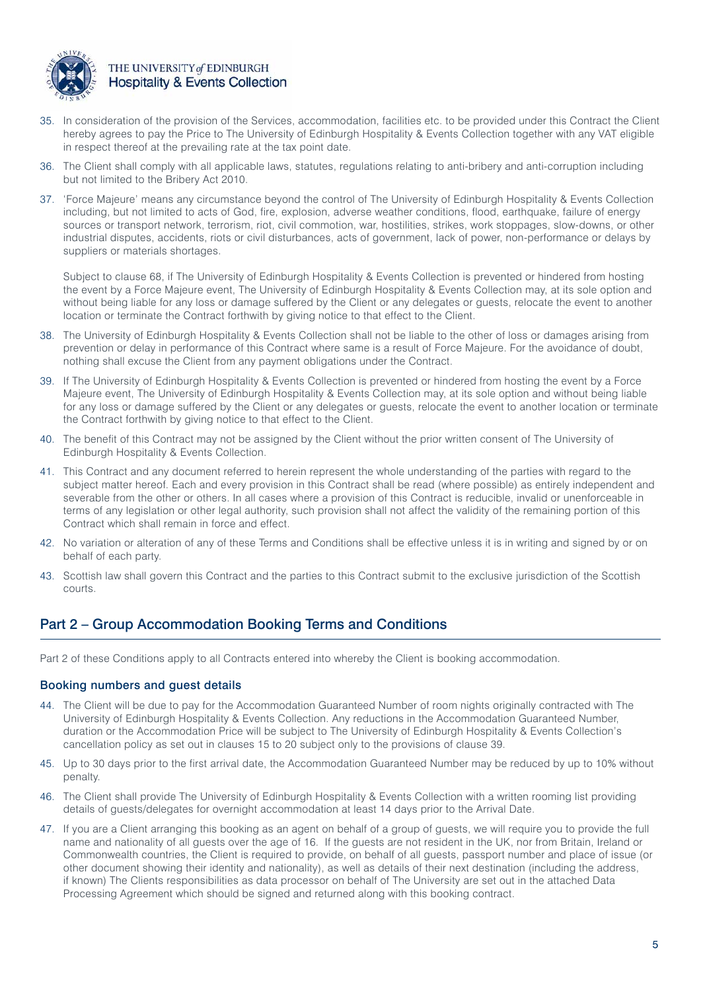

- 35. In consideration of the provision of the Services, accommodation, facilities etc. to be provided under this Contract the Client hereby agrees to pay the Price to The University of Edinburgh Hospitality & Events Collection together with any VAT eligible in respect thereof at the prevailing rate at the tax point date.
- 36. The Client shall comply with all applicable laws, statutes, regulations relating to anti-bribery and anti-corruption including but not limited to the Bribery Act 2010.
- 37. 'Force Majeure' means any circumstance beyond the control of The University of Edinburgh Hospitality & Events Collection including, but not limited to acts of God, fire, explosion, adverse weather conditions, flood, earthquake, failure of energy sources or transport network, terrorism, riot, civil commotion, war, hostilities, strikes, work stoppages, slow-downs, or other industrial disputes, accidents, riots or civil disturbances, acts of government, lack of power, non-performance or delays by suppliers or materials shortages.

Subject to clause 68, if The University of Edinburgh Hospitality & Events Collection is prevented or hindered from hosting the event by a Force Majeure event, The University of Edinburgh Hospitality & Events Collection may, at its sole option and without being liable for any loss or damage suffered by the Client or any delegates or guests, relocate the event to another location or terminate the Contract forthwith by giving notice to that effect to the Client.

- 38. The University of Edinburgh Hospitality & Events Collection shall not be liable to the other of loss or damages arising from prevention or delay in performance of this Contract where same is a result of Force Majeure. For the avoidance of doubt, nothing shall excuse the Client from any payment obligations under the Contract.
- 39. If The University of Edinburgh Hospitality & Events Collection is prevented or hindered from hosting the event by a Force Majeure event, The University of Edinburgh Hospitality & Events Collection may, at its sole option and without being liable for any loss or damage suffered by the Client or any delegates or guests, relocate the event to another location or terminate the Contract forthwith by giving notice to that effect to the Client.
- 40. The benefit of this Contract may not be assigned by the Client without the prior written consent of The University of Edinburgh Hospitality & Events Collection.
- 41. This Contract and any document referred to herein represent the whole understanding of the parties with regard to the subject matter hereof. Each and every provision in this Contract shall be read (where possible) as entirely independent and severable from the other or others. In all cases where a provision of this Contract is reducible, invalid or unenforceable in terms of any legislation or other legal authority, such provision shall not affect the validity of the remaining portion of this Contract which shall remain in force and effect.
- 42. No variation or alteration of any of these Terms and Conditions shall be effective unless it is in writing and signed by or on behalf of each party.
- 43. Scottish law shall govern this Contract and the parties to this Contract submit to the exclusive jurisdiction of the Scottish courts.

# Part 2 – Group Accommodation Booking Terms and Conditions

Part 2 of these Conditions apply to all Contracts entered into whereby the Client is booking accommodation.

## Booking numbers and guest details

- 44. The Client will be due to pay for the Accommodation Guaranteed Number of room nights originally contracted with The University of Edinburgh Hospitality & Events Collection. Any reductions in the Accommodation Guaranteed Number, duration or the Accommodation Price will be subject to The University of Edinburgh Hospitality & Events Collection's cancellation policy as set out in clauses 15 to 20 subject only to the provisions of clause 39.
- 45. Up to 30 days prior to the first arrival date, the Accommodation Guaranteed Number may be reduced by up to 10% without penalty.
- 46. The Client shall provide The University of Edinburgh Hospitality & Events Collection with a written rooming list providing details of guests/delegates for overnight accommodation at least 14 days prior to the Arrival Date.
- 47. If you are a Client arranging this booking as an agent on behalf of a group of guests, we will require you to provide the full name and nationality of all guests over the age of 16. If the guests are not resident in the UK, nor from Britain, Ireland or Commonwealth countries, the Client is required to provide, on behalf of all guests, passport number and place of issue (or other document showing their identity and nationality), as well as details of their next destination (including the address, if known) The Clients responsibilities as data processor on behalf of The University are set out in the attached Data Processing Agreement which should be signed and returned along with this booking contract.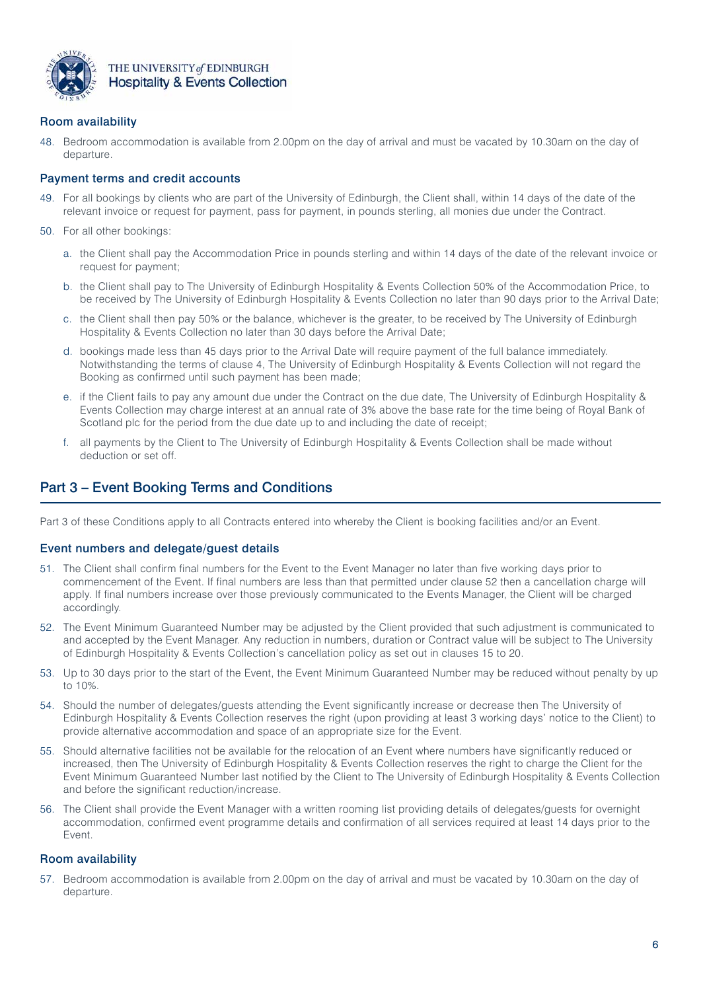

## Room availability

48. Bedroom accommodation is available from 2.00pm on the day of arrival and must be vacated by 10.30am on the day of departure.

## Payment terms and credit accounts

- 49. For all bookings by clients who are part of the University of Edinburgh, the Client shall, within 14 days of the date of the relevant invoice or request for payment, pass for payment, in pounds sterling, all monies due under the Contract.
- 50. For all other bookings:
	- a. the Client shall pay the Accommodation Price in pounds sterling and within 14 days of the date of the relevant invoice or request for payment;
	- b. the Client shall pay to The University of Edinburgh Hospitality & Events Collection 50% of the Accommodation Price, to be received by The University of Edinburgh Hospitality & Events Collection no later than 90 days prior to the Arrival Date;
	- c. the Client shall then pay 50% or the balance, whichever is the greater, to be received by The University of Edinburgh Hospitality & Events Collection no later than 30 days before the Arrival Date;
	- d. bookings made less than 45 days prior to the Arrival Date will require payment of the full balance immediately. Notwithstanding the terms of clause 4, The University of Edinburgh Hospitality & Events Collection will not regard the Booking as confirmed until such payment has been made;
	- e. if the Client fails to pay any amount due under the Contract on the due date, The University of Edinburgh Hospitality & Events Collection may charge interest at an annual rate of 3% above the base rate for the time being of Royal Bank of Scotland plc for the period from the due date up to and including the date of receipt;
	- f. all payments by the Client to The University of Edinburgh Hospitality & Events Collection shall be made without deduction or set off.

# Part 3 – Event Booking Terms and Conditions

Part 3 of these Conditions apply to all Contracts entered into whereby the Client is booking facilities and/or an Event.

## Event numbers and delegate/guest details

- 51. The Client shall confirm final numbers for the Event to the Event Manager no later than five working days prior to commencement of the Event. If final numbers are less than that permitted under clause 52 then a cancellation charge will apply. If final numbers increase over those previously communicated to the Events Manager, the Client will be charged accordingly.
- 52. The Event Minimum Guaranteed Number may be adjusted by the Client provided that such adjustment is communicated to and accepted by the Event Manager. Any reduction in numbers, duration or Contract value will be subject to The University of Edinburgh Hospitality & Events Collection's cancellation policy as set out in clauses 15 to 20.
- 53. Up to 30 days prior to the start of the Event, the Event Minimum Guaranteed Number may be reduced without penalty by up to 10%.
- 54. Should the number of delegates/guests attending the Event significantly increase or decrease then The University of Edinburgh Hospitality & Events Collection reserves the right (upon providing at least 3 working days' notice to the Client) to provide alternative accommodation and space of an appropriate size for the Event.
- 55. Should alternative facilities not be available for the relocation of an Event where numbers have significantly reduced or increased, then The University of Edinburgh Hospitality & Events Collection reserves the right to charge the Client for the Event Minimum Guaranteed Number last notified by the Client to The University of Edinburgh Hospitality & Events Collection and before the significant reduction/increase.
- 56. The Client shall provide the Event Manager with a written rooming list providing details of delegates/guests for overnight accommodation, confirmed event programme details and confirmation of all services required at least 14 days prior to the Event.

## Room availability

57. Bedroom accommodation is available from 2.00pm on the day of arrival and must be vacated by 10.30am on the day of departure.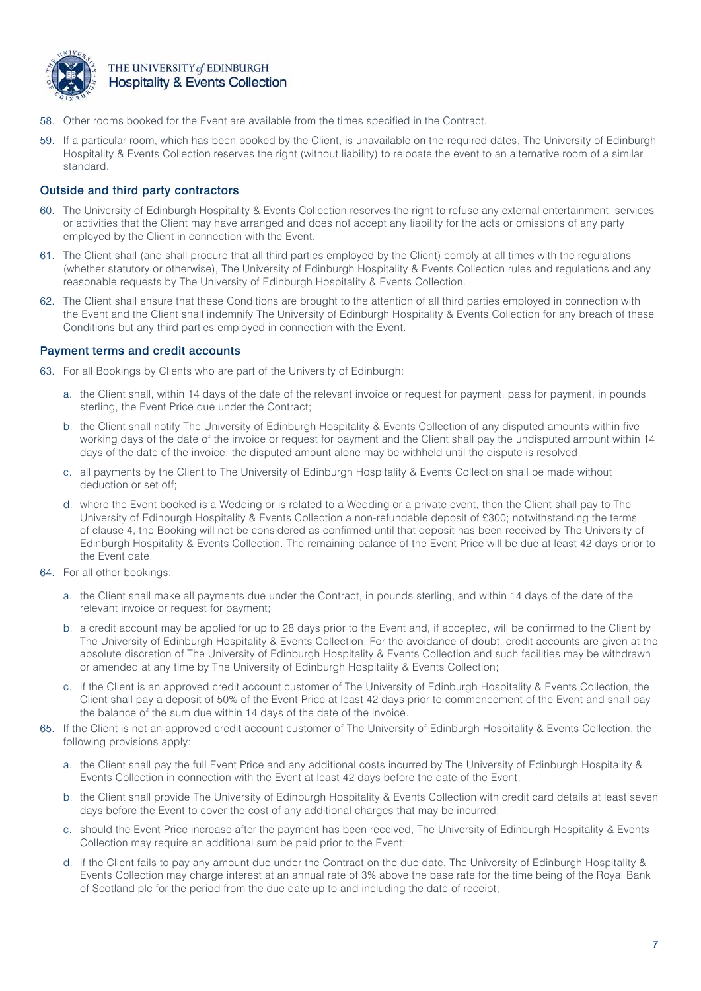

- 58. Other rooms booked for the Event are available from the times specified in the Contract.
- 59. If a particular room, which has been booked by the Client, is unavailable on the required dates, The University of Edinburgh Hospitality & Events Collection reserves the right (without liability) to relocate the event to an alternative room of a similar standard.

## Outside and third party contractors

- 60. The University of Edinburgh Hospitality & Events Collection reserves the right to refuse any external entertainment, services or activities that the Client may have arranged and does not accept any liability for the acts or omissions of any party employed by the Client in connection with the Event.
- 61. The Client shall (and shall procure that all third parties employed by the Client) comply at all times with the regulations (whether statutory or otherwise), The University of Edinburgh Hospitality & Events Collection rules and regulations and any reasonable requests by The University of Edinburgh Hospitality & Events Collection.
- 62. The Client shall ensure that these Conditions are brought to the attention of all third parties employed in connection with the Event and the Client shall indemnify The University of Edinburgh Hospitality & Events Collection for any breach of these Conditions but any third parties employed in connection with the Event.

## Payment terms and credit accounts

- 63. For all Bookings by Clients who are part of the University of Edinburgh:
	- a. the Client shall, within 14 days of the date of the relevant invoice or request for payment, pass for payment, in pounds sterling, the Event Price due under the Contract;
	- b. the Client shall notify The University of Edinburgh Hospitality & Events Collection of any disputed amounts within five working days of the date of the invoice or request for payment and the Client shall pay the undisputed amount within 14 days of the date of the invoice; the disputed amount alone may be withheld until the dispute is resolved;
	- c. all payments by the Client to The University of Edinburgh Hospitality & Events Collection shall be made without deduction or set off;
	- d. where the Event booked is a Wedding or is related to a Wedding or a private event, then the Client shall pay to The University of Edinburgh Hospitality & Events Collection a non-refundable deposit of £300; notwithstanding the terms of clause 4, the Booking will not be considered as confirmed until that deposit has been received by The University of Edinburgh Hospitality & Events Collection. The remaining balance of the Event Price will be due at least 42 days prior to the Event date.
- 64. For all other bookings:
	- a. the Client shall make all payments due under the Contract, in pounds sterling, and within 14 days of the date of the relevant invoice or request for payment;
	- b. a credit account may be applied for up to 28 days prior to the Event and, if accepted, will be confirmed to the Client by The University of Edinburgh Hospitality & Events Collection. For the avoidance of doubt, credit accounts are given at the absolute discretion of The University of Edinburgh Hospitality & Events Collection and such facilities may be withdrawn or amended at any time by The University of Edinburgh Hospitality & Events Collection;
	- c. if the Client is an approved credit account customer of The University of Edinburgh Hospitality & Events Collection, the Client shall pay a deposit of 50% of the Event Price at least 42 days prior to commencement of the Event and shall pay the balance of the sum due within 14 days of the date of the invoice.
- 65. If the Client is not an approved credit account customer of The University of Edinburgh Hospitality & Events Collection, the following provisions apply:
	- a. the Client shall pay the full Event Price and any additional costs incurred by The University of Edinburgh Hospitality & Events Collection in connection with the Event at least 42 days before the date of the Event;
	- b. the Client shall provide The University of Edinburgh Hospitality & Events Collection with credit card details at least seven days before the Event to cover the cost of any additional charges that may be incurred;
	- c. should the Event Price increase after the payment has been received, The University of Edinburgh Hospitality & Events Collection may require an additional sum be paid prior to the Event;
	- d. if the Client fails to pay any amount due under the Contract on the due date, The University of Edinburgh Hospitality & Events Collection may charge interest at an annual rate of 3% above the base rate for the time being of the Royal Bank of Scotland plc for the period from the due date up to and including the date of receipt;